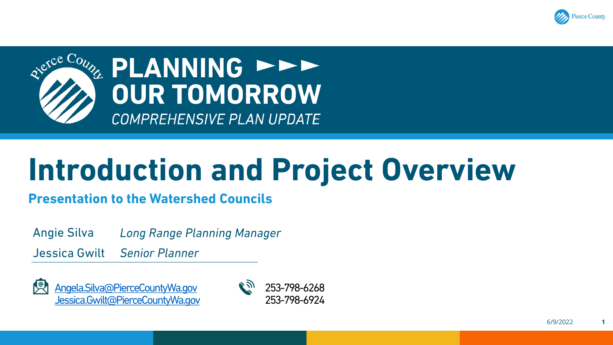



# **Introduction and Project Overview**

**Presentation to the Watershed Councils**

Angie Silva *Long Range Planning Manager*

Jessica Gwilt *Senior Planner*



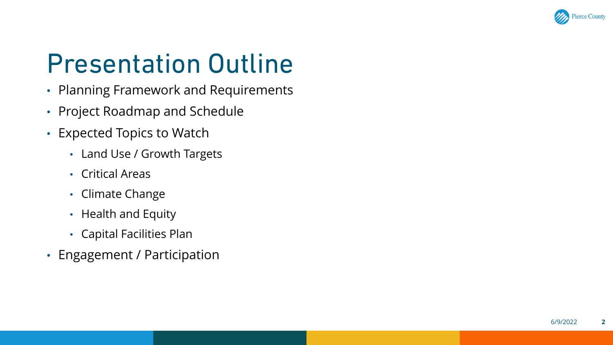

# Presentation Outline

- Planning Framework and Requirements
- Project Roadmap and Schedule
- Expected Topics to Watch
	- Land Use / Growth Targets
	- Critical Areas
	- Climate Change
	- Health and Equity
	- Capital Facilities Plan
- Engagement / Participation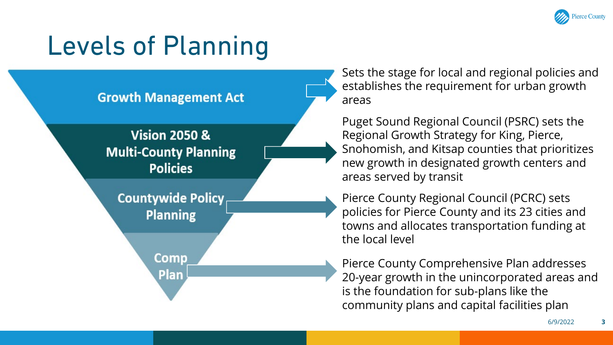

# Levels of Planning



Sets the stage for local and regional policies and establishes the requirement for urban growth areas

Puget Sound Regional Council (PSRC) sets the Regional Growth Strategy for King, Pierce, Snohomish, and Kitsap counties that prioritizes new growth in designated growth centers and areas served by transit

Pierce County Regional Council (PCRC) sets policies for Pierce County and its 23 cities and towns and allocates transportation funding at the local level

Pierce County Comprehensive Plan addresses 20-year growth in the unincorporated areas and is the foundation for sub-plans like the community plans and capital facilities plan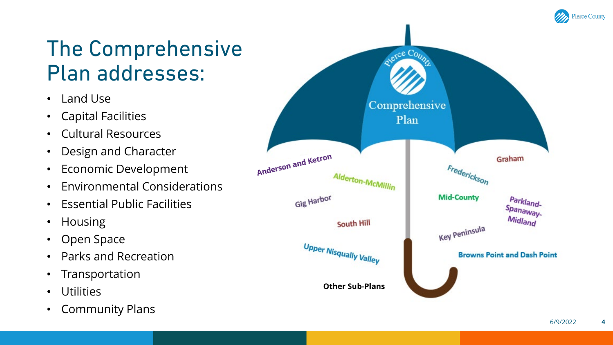

## The Comprehensive Plan addresses:

- Land Use
- Capital Facilities
- Cultural Resources
- Design and Character
- Economic Development
- Environmental Considerations
- Essential Public Facilities
- Housing
- Open Space
- Parks and Recreation
- Transportation
- Utilities
- Community Plans



**4**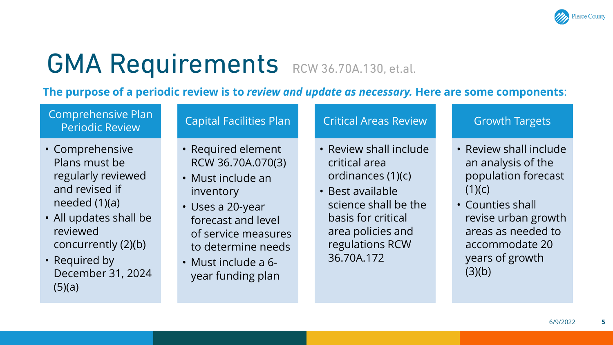

# GMA Requirements RCW 36.70A.130, et.al.

**The purpose of a periodic review is to** *review and update as necessary.* **Here are some components**:

### Comprehensive Plan Periodic Review

- Comprehensive Plans must be regularly reviewed and revised if needed (1)(a)
- All updates shall be reviewed concurrently (2)(b)
- Required by December 31, 2024  $(5)(a)$

### Capital Facilities Plan

- Required element RCW 36.70A.070(3)
- Must include an inventory
- Uses a 20-year forecast and level of service measures to determine needs
- Must include a 6 year funding plan

### Critical Areas Review

- Review shall include critical area ordinances (1)(c)
- Best available science shall be the basis for critical area policies and regulations RCW 36.70A.172

### Growth Targets

- Review shall include an analysis of the population forecast  $(1)(c)$
- Counties shall revise urban growth areas as needed to accommodate 20 years of growth  $(3)(b)$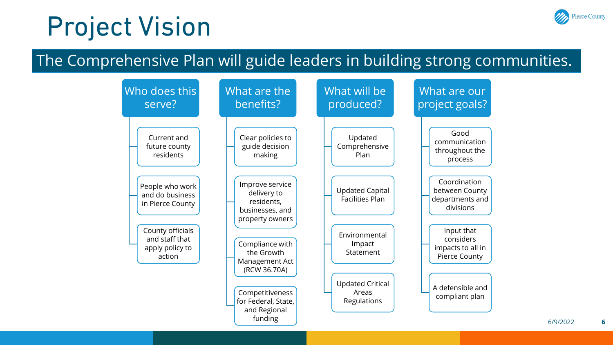## Project Vision

## Pierce County

## The Comprehensive Plan will guide leaders in building strong communities.

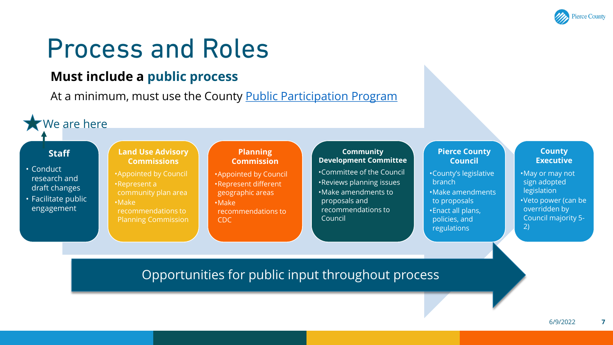

## Process and Roles

### **Must include a public process**

At a minimum, must use the County [Public Participation Program](https://www.piercecountywa.gov/6854/Public-Participation-Program)

CDC

We are here

### **Staff**

- Conduct research and draft changes
- Facilitate public engagement

### **Land Use Advisory Commissions**

•Appointed by Council •Represent a community plan area •Make recommendations to Planning Commission

### **Planning Commission**

•Appointed by Council •Represent different geographic areas •Make recommendations to

### **Community Development Committee**

•Committee of the Council •Reviews planning issues •Make amendments to proposals and recommendations to Council

### **Pierce County Council**

•County's legislative branch •Make amendments to proposals •Enact all plans, policies, and regulations

### **County Executive**

- •May or may not sign adopted legislation
- •Veto power (can be overridden by Council majority 5- 2)

Opportunities for public input throughout process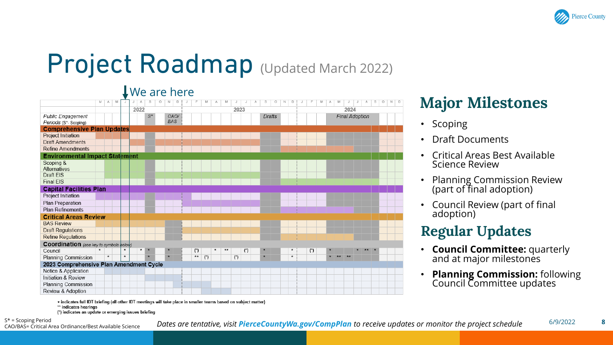

# Project Roadmap (Updated March 2022)

## We are here

|                                         | M | А<br>M  | J       | J<br>А       | s                   | O<br>N     | D |    | M     |    |       |   | s<br>О | N | D            |   | M | М  |                       | s | $\circ$ | N<br>D |
|-----------------------------------------|---|---------|---------|--------------|---------------------|------------|---|----|-------|----|-------|---|--------|---|--------------|---|---|----|-----------------------|---|---------|--------|
|                                         |   |         |         | 2022         |                     |            |   |    |       |    | 2023  |   |        |   |              |   |   |    | 2024                  |   |         |        |
| <b>Public Engagement</b>                |   |         |         |              | $S^*$               | CAO/       |   |    |       |    |       |   | Drafts |   |              |   |   |    | <b>Final Adoption</b> |   |         |        |
| Periods (S*- Scoping)                   |   |         |         |              |                     | <b>BAS</b> |   |    |       |    |       |   |        |   |              |   |   |    |                       |   |         |        |
| <b>Comprehensive Plan Updates</b>       |   |         |         |              |                     |            |   |    |       |    |       |   |        |   |              |   |   |    |                       |   |         |        |
| <b>Project Initiation</b>               |   |         |         |              |                     |            |   |    |       |    |       |   |        |   |              |   |   |    |                       |   |         |        |
| <b>Draft Amendments</b>                 |   |         |         |              |                     |            |   |    |       |    |       |   |        |   |              |   |   |    |                       |   |         |        |
| <b>Refine Amendments</b>                |   |         |         |              |                     |            |   |    |       |    |       |   |        |   |              |   |   |    |                       |   |         |        |
| <b>Environmental Impact Statement</b>   |   |         |         |              |                     |            |   |    |       |    |       |   |        |   |              |   |   |    |                       |   |         |        |
| Scoping &                               |   |         |         |              |                     |            |   |    |       |    |       |   |        |   |              |   |   |    |                       |   |         |        |
| Alternatives                            |   |         |         |              |                     |            |   |    |       |    |       |   |        |   |              |   |   |    |                       |   |         |        |
| Draft EIS                               |   |         |         |              |                     |            |   |    |       |    |       |   |        |   |              |   |   |    |                       |   |         |        |
| <b>Final EIS</b>                        |   |         |         |              |                     |            |   |    |       |    |       |   |        |   |              |   |   |    |                       |   |         |        |
| <b>Capital Facilities Plan</b>          |   |         |         |              |                     |            |   |    |       |    |       |   |        |   |              |   |   |    |                       |   |         |        |
| Project Initiation                      |   |         |         |              |                     |            |   |    |       |    |       |   |        |   |              |   |   |    |                       |   |         |        |
| Plan Preparation                        |   |         |         |              |                     |            |   |    |       |    |       |   |        |   |              |   |   |    |                       |   |         |        |
| <b>Plan Refinements</b>                 |   |         |         |              |                     |            |   |    |       |    |       |   |        |   |              |   |   |    |                       |   |         |        |
| <b>Critical Areas Review</b>            |   |         |         |              |                     |            |   |    |       |    |       |   |        |   |              |   |   |    |                       |   |         |        |
| <b>BAS Review</b>                       |   |         |         |              |                     |            |   |    |       |    |       |   |        |   |              |   |   |    |                       |   |         |        |
| <b>Draft Regulations</b>                |   |         |         |              |                     |            |   |    |       |    |       |   |        |   |              |   |   |    |                       |   |         |        |
| <b>Refine Regulations</b>               |   |         |         |              |                     |            |   |    |       |    |       |   |        |   |              |   |   |    |                       |   |         |        |
| Coordination (see key to symbols below) |   |         |         |              |                     |            |   |    |       |    |       |   |        |   |              |   |   |    |                       |   |         |        |
| Council                                 |   |         | $\star$ | $\pmb{\ast}$ | $\boldsymbol{\ast}$ |            |   | (  |       | ** |       | ( |        |   |              | ( |   |    |                       |   |         |        |
| Planning Commission                     |   | $\star$ | $\star$ |              |                     |            |   | ** | $(*)$ |    | $(*)$ |   |        |   | $\pmb{\ast}$ |   |   | ** | **                    |   |         |        |
| 2023 Comprehensive Plan Amendment Cycle |   |         |         |              |                     |            |   |    |       |    |       |   |        |   |              |   |   |    |                       |   |         |        |
| Notice & Application                    |   |         |         |              |                     |            |   |    |       |    |       |   |        |   |              |   |   |    |                       |   |         |        |
| Initiation & Review                     |   |         |         |              |                     |            |   |    |       |    |       |   |        |   |              |   |   |    |                       |   |         |        |
| Planning Commission                     |   |         |         |              |                     |            |   |    |       |    |       |   |        |   |              |   |   |    |                       |   |         |        |
| Review & Adoption                       |   |         |         |              |                     |            |   |    |       |    |       |   |        |   |              |   |   |    |                       |   |         |        |

## **Major Milestones**

- Scoping
- Draft Documents
- Critical Areas Best Available Science Review
- Planning Commission Review (part of final adoption)
- Council Review (part of final adoption)

## **Regular Updates**

- **Council Committee:** quarterly and at major milestones
- **Planning Commission:** following Council Committee updates

+ indicates full IDT briefing (all other IDT meetings will take place in smaller teams based on subject matter) \*\* indicates hearings

(\*) indicates an update or emerging issues briefing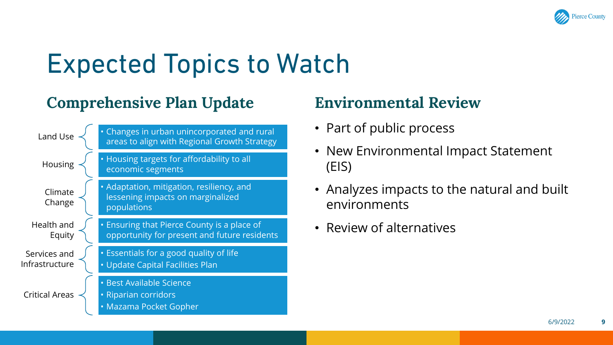

# Expected Topics to Watch

## **Comprehensive Plan Update Environmental Review**



- Part of public process
- New Environmental Impact Statement (EIS)
- Analyzes impacts to the natural and built environments
- Review of alternatives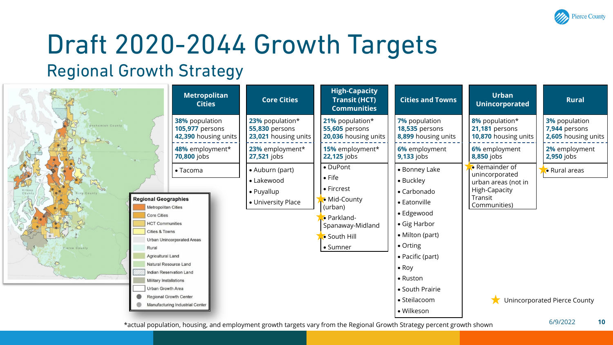

# Draft 2020-2044 Growth Targets

## Regional Growth Strategy

|                              | <b>Metropolitan</b><br><b>Cities</b>                                                                                                                                                                                                                                                                                                                                                                      | <b>Core Cities</b>                                                | <b>High-Capacity</b><br><b>Transit (HCT)</b><br><b>Communities</b>                                                                 | <b>Cities and Towns</b>                                                                                                                                                                                                                          | <b>Urban</b><br><b>Unincorporated</b>                                                               | <b>Rural</b>                                  |
|------------------------------|-----------------------------------------------------------------------------------------------------------------------------------------------------------------------------------------------------------------------------------------------------------------------------------------------------------------------------------------------------------------------------------------------------------|-------------------------------------------------------------------|------------------------------------------------------------------------------------------------------------------------------------|--------------------------------------------------------------------------------------------------------------------------------------------------------------------------------------------------------------------------------------------------|-----------------------------------------------------------------------------------------------------|-----------------------------------------------|
| Snohomish County             | <b>38%</b> population                                                                                                                                                                                                                                                                                                                                                                                     | 23% population*                                                   | 21% population*                                                                                                                    | 7% population                                                                                                                                                                                                                                    | 8% population*                                                                                      | <b>3%</b> population                          |
|                              | <b>105,977</b> persons                                                                                                                                                                                                                                                                                                                                                                                    | <b>55,830 persons</b>                                             | <b>55,605 persons</b>                                                                                                              | <b>18,535 persons</b>                                                                                                                                                                                                                            | 21,181 persons                                                                                      | 7,944 persons                                 |
|                              | 42,390 housing units                                                                                                                                                                                                                                                                                                                                                                                      | 23,021 housing units                                              | 20,036 housing units                                                                                                               | 8,899 housing units                                                                                                                                                                                                                              | 10,870 housing units                                                                                | 2,605 housing units                           |
|                              | 48% employment*                                                                                                                                                                                                                                                                                                                                                                                           | 23% employment*                                                   | 15% employment*                                                                                                                    | 6% employment                                                                                                                                                                                                                                    | 6% employment                                                                                       | 2% employment                                 |
|                              | <b>70,800</b> jobs                                                                                                                                                                                                                                                                                                                                                                                        | 27,521 jobs                                                       | 22,125 jobs                                                                                                                        | <b>9,133</b> jobs                                                                                                                                                                                                                                | 8,850 jobs                                                                                          | <b>2,950</b> jobs                             |
| Pierce County<br>Rural<br>53 | $\bullet$ Tacoma<br><b>Regional Geographies</b><br><b>Metropolitan Cities</b><br><b>Core Cities</b><br><b>HCT Communities</b><br><b>Cities &amp; Towns</b><br><b>Urban Unincorporated Areas</b><br><b>Agricultural Land</b><br>Natural Resource Land<br><b>Indian Reservation Land</b><br>Military Installations<br>Urban Growth Area<br><b>Regional Growth Center</b><br>Manufacturing Industrial Center | • Auburn (part)<br>• Lakewood<br>• Puyallup<br>• University Place | • DuPont<br>$\bullet$ Fife<br>• Fircrest<br>• Mid-County<br>(urban)<br>• Parkland-<br>Spanaway-Midland<br>• South Hill<br>• Sumner | • Bonney Lake<br>• Buckley<br>$\bullet$ Carbonado<br>• Eatonville<br>• Edgewood<br>• Gig Harbor<br>$\bullet$ Milton (part)<br>• Orting<br>• Pacific (part)<br>$\bullet$ Roy<br>$\bullet$ Ruston<br>• South Prairie<br>• Steilacoom<br>• Wilkeson | • Remainder of<br>unincorporated<br>urban areas (not in<br>High-Capacity<br>Transit<br>Communities) | • Rural areas<br>Unincorporated Pierce County |

\*actual population, housing, and employment growth targets vary from the Regional Growth Strategy percent growth shown

6/9/2022 **10**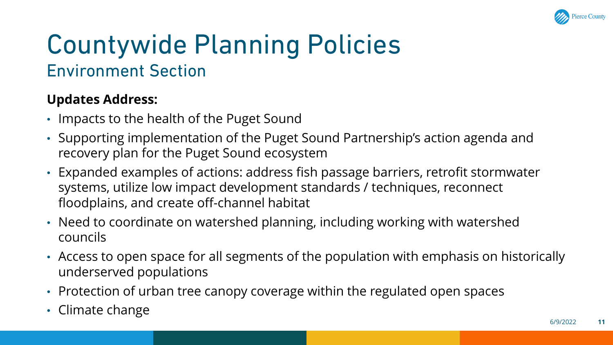

## Countywide Planning Policies Environment Section

## **Updates Address:**

- Impacts to the health of the Puget Sound
- Supporting implementation of the Puget Sound Partnership's action agenda and recovery plan for the Puget Sound ecosystem
- Expanded examples of actions: address fish passage barriers, retrofit stormwater systems, utilize low impact development standards / techniques, reconnect floodplains, and create off-channel habitat
- Need to coordinate on watershed planning, including working with watershed councils
- Access to open space for all segments of the population with emphasis on historically underserved populations
- Protection of urban tree canopy coverage within the regulated open spaces
- Climate change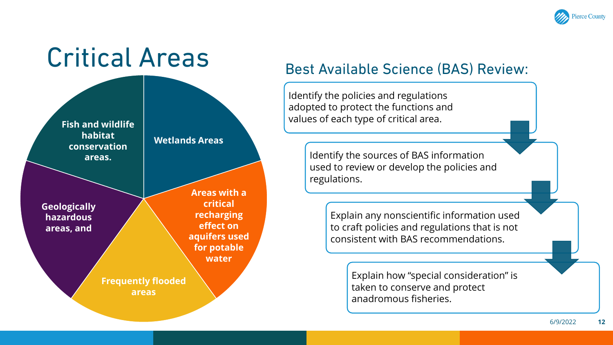

### Critical Areas **Wetlands Areas Areas with a critical recharging effect on aquifers used for potable water Frequently flooded areas Geologically hazardous areas, and Fish and wildlife habitat conservation areas.**

## Best Available Science (BAS) Review:

Identify the policies and regulations adopted to protect the functions and values of each type of critical area.

> Identify the sources of BAS information used to review or develop the policies and regulations.

> > Explain any nonscientific information used to craft policies and regulations that is not consistent with BAS recommendations.

> > > Explain how "special consideration" is taken to conserve and protect anadromous fisheries.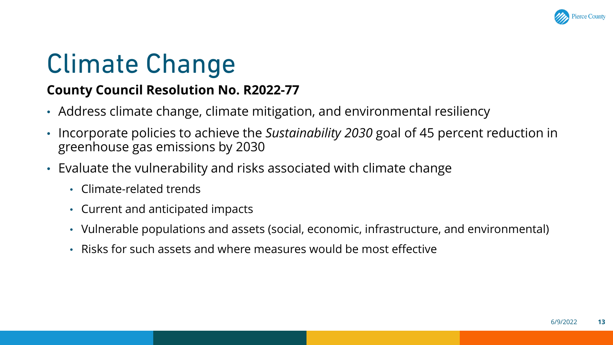

# Climate Change

## **County Council Resolution No. R2022-77**

- Address climate change, climate mitigation, and environmental resiliency
- Incorporate policies to achieve the *Sustainability 2030* goal of 45 percent reduction in greenhouse gas emissions by 2030
- Evaluate the vulnerability and risks associated with climate change
	- Climate-related trends
	- Current and anticipated impacts
	- Vulnerable populations and assets (social, economic, infrastructure, and environmental)
	- Risks for such assets and where measures would be most effective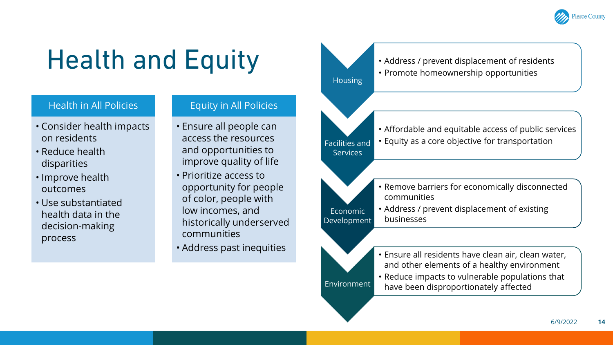

# Health and Equity

### Health in All Policies

- Consider health impacts on residents
- Reduce health disparities
- Improve health outcomes
- Use substantiated health data in the decision-making process

### Equity in All Policies

- Ensure all people can access the resources and opportunities to improve quality of life
- Prioritize access to opportunity for people of color, people with low incomes, and historically underserved communities
- Address past inequities

• Address / prevent displacement of residents • Promote homeownership opportunities



Economic Development

**Environment** 

**Housing** 

- Affordable and equitable access of public services • Equity as a core objective for transportation
- Remove barriers for economically disconnected communities
- Address / prevent displacement of existing businesses
- Ensure all residents have clean air, clean water, and other elements of a healthy environment
- Reduce impacts to vulnerable populations that have been disproportionately affected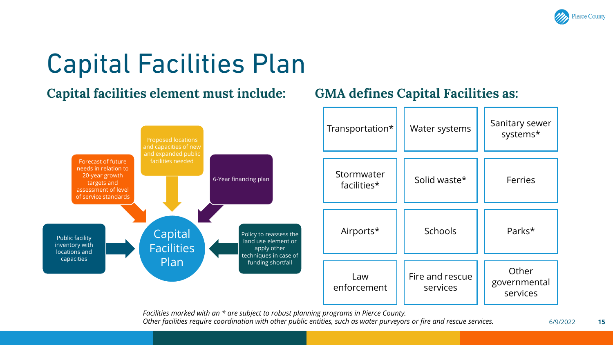

# Capital Facilities Plan

## **Capital facilities element must include:**

## **GMA defines Capital Facilities as:**



*Facilities marked with an \* are subject to robust planning programs in Pierce County. Other facilities require coordination with other public entities, such as water purveyors or fire and rescue services.*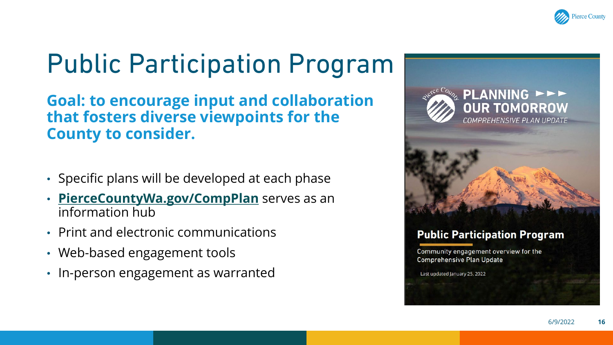

# Public Participation Program

**Goal: to encourage input and collaboration that fosters diverse viewpoints for the County to consider.**

- Specific plans will be developed at each phase
- **[PierceCountyWa.gov/CompPlan](http://www.piercecountywa.gov/CompPlan)** serves as an information hub
- Print and electronic communications
- Web-based engagement tools
- In-person engagement as warranted





### **Public Participation Program**

Community engagement overview for the **Comprehensive Plan Update** 

Last updated January 25, 2022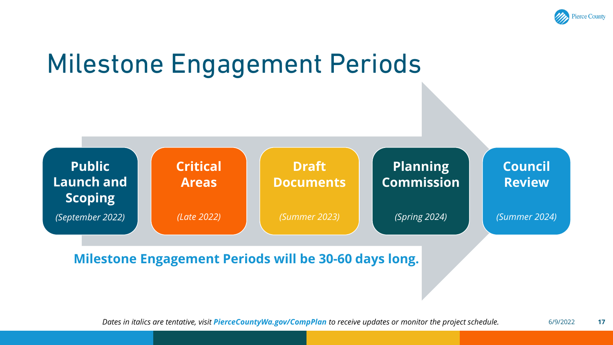

## Milestone Engagement Periods



**Milestone Engagement Periods will be 30-60 days long.**

6/9/2022 **17** *Dates in italics are tentative, visit PierceCountyWa.gov/CompPlan to receive updates or monitor the project schedule.*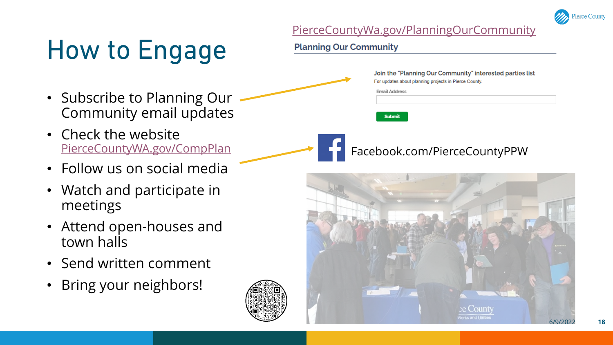

### [PierceCountyWa.gov/PlanningOurCommunity](https://www.piercecountywa.gov/PlanningOurCommunity)

**Email Address** 

**Submit** 

For updates about planning projects in Pierce County.

# How to Engage

**Planning Our Community** 

- Subscribe to Planning Our Community email updates
- Check the website [PierceCountyWA.gov/CompPlan](http://www.piercecountywa.gov/CompPlan)
- Follow us on social media
- Watch and participate in meetings
- Attend open-houses and town halls
- Send written comment
- Bring your neighbors!





## Facebook.com/PierceCountyPPW

Join the "Planning Our Community" interested parties list